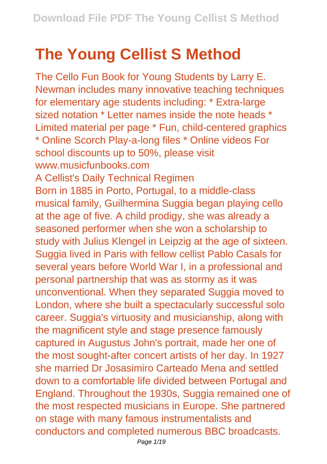## **The Young Cellist S Method**

The Cello Fun Book for Young Students by Larry E. Newman includes many innovative teaching techniques for elementary age students including: \* Extra-large sized notation \* Letter names inside the note heads \* Limited material per page \* Fun, child-centered graphics \* Online Scorch Play-a-long files \* Online videos For school discounts up to 50%, please visit www.musicfunbooks.com A Cellist's Daily Technical Regimen Born in 1885 in Porto, Portugal, to a middle-class musical family, Guilhermina Suggia began playing cello at the age of five. A child prodigy, she was already a seasoned performer when she won a scholarship to study with Julius Klengel in Leipzig at the age of sixteen. Suggia lived in Paris with fellow cellist Pablo Casals for several years before World War I, in a professional and personal partnership that was as stormy as it was unconventional. When they separated Suggia moved to London, where she built a spectacularly successful solo career. Suggia's virtuosity and musicianship, along with the magnificent style and stage presence famously captured in Augustus John's portrait, made her one of the most sought-after concert artists of her day. In 1927 she married Dr Josasimiro Carteado Mena and settled down to a comfortable life divided between Portugal and England. Throughout the 1930s, Suggia remained one of the most respected musicians in Europe. She partnered on stage with many famous instrumentalists and conductors and completed numerous BBC broadcasts.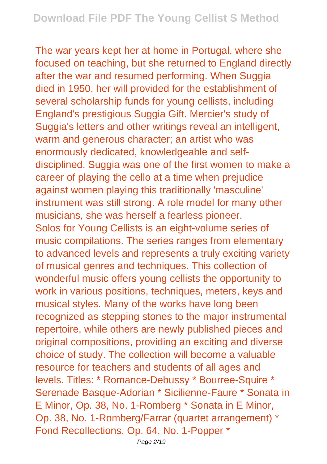The war years kept her at home in Portugal, where she focused on teaching, but she returned to England directly after the war and resumed performing. When Suggia died in 1950, her will provided for the establishment of several scholarship funds for young cellists, including England's prestigious Suggia Gift. Mercier's study of Suggia's letters and other writings reveal an intelligent, warm and generous character; an artist who was enormously dedicated, knowledgeable and selfdisciplined. Suggia was one of the first women to make a career of playing the cello at a time when prejudice against women playing this traditionally 'masculine' instrument was still strong. A role model for many other musicians, she was herself a fearless pioneer. Solos for Young Cellists is an eight-volume series of music compilations. The series ranges from elementary to advanced levels and represents a truly exciting variety of musical genres and techniques. This collection of wonderful music offers young cellists the opportunity to work in various positions, techniques, meters, keys and musical styles. Many of the works have long been recognized as stepping stones to the major instrumental repertoire, while others are newly published pieces and original compositions, providing an exciting and diverse choice of study. The collection will become a valuable resource for teachers and students of all ages and levels. Titles: \* Romance-Debussy \* Bourree-Squire \* Serenade Basque-Adorian \* Sicilienne-Faure \* Sonata in E Minor, Op. 38, No. 1-Romberg \* Sonata in E Minor, Op. 38, No. 1-Romberg/Farrar (quartet arrangement) \* Fond Recollections, Op. 64, No. 1-Popper \*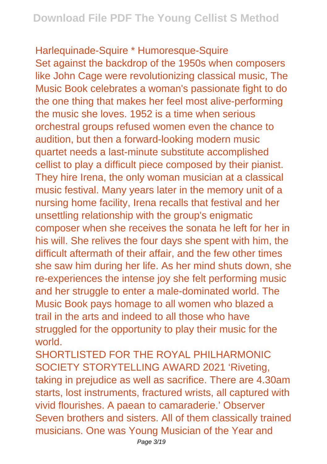Harlequinade-Squire \* Humoresque-Squire Set against the backdrop of the 1950s when composers like John Cage were revolutionizing classical music, The Music Book celebrates a woman's passionate fight to do the one thing that makes her feel most alive-performing the music she loves. 1952 is a time when serious orchestral groups refused women even the chance to audition, but then a forward-looking modern music quartet needs a last-minute substitute accomplished cellist to play a difficult piece composed by their pianist. They hire Irena, the only woman musician at a classical music festival. Many years later in the memory unit of a nursing home facility, Irena recalls that festival and her unsettling relationship with the group's enigmatic composer when she receives the sonata he left for her in his will. She relives the four days she spent with him, the difficult aftermath of their affair, and the few other times she saw him during her life. As her mind shuts down, she re-experiences the intense joy she felt performing music and her struggle to enter a male-dominated world. The Music Book pays homage to all women who blazed a trail in the arts and indeed to all those who have struggled for the opportunity to play their music for the world.

SHORTLISTED FOR THE ROYAL PHILHARMONIC SOCIETY STORYTELLING AWARD 2021 'Riveting, taking in prejudice as well as sacrifice. There are 4.30am starts, lost instruments, fractured wrists, all captured with vivid flourishes. A paean to camaraderie.' Observer Seven brothers and sisters. All of them classically trained musicians. One was Young Musician of the Year and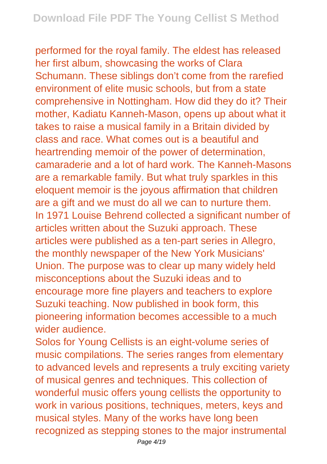performed for the royal family. The eldest has released her first album, showcasing the works of Clara Schumann. These siblings don't come from the rarefied environment of elite music schools, but from a state comprehensive in Nottingham. How did they do it? Their mother, Kadiatu Kanneh-Mason, opens up about what it takes to raise a musical family in a Britain divided by class and race. What comes out is a beautiful and heartrending memoir of the power of determination, camaraderie and a lot of hard work. The Kanneh-Masons are a remarkable family. But what truly sparkles in this eloquent memoir is the joyous affirmation that children are a gift and we must do all we can to nurture them. In 1971 Louise Behrend collected a significant number of articles written about the Suzuki approach. These articles were published as a ten-part series in Allegro, the monthly newspaper of the New York Musicians' Union. The purpose was to clear up many widely held misconceptions about the Suzuki ideas and to encourage more fine players and teachers to explore Suzuki teaching. Now published in book form, this pioneering information becomes accessible to a much wider audience.

Solos for Young Cellists is an eight-volume series of music compilations. The series ranges from elementary to advanced levels and represents a truly exciting variety of musical genres and techniques. This collection of wonderful music offers young cellists the opportunity to work in various positions, techniques, meters, keys and musical styles. Many of the works have long been recognized as stepping stones to the major instrumental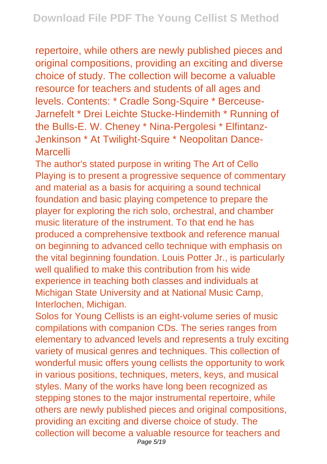repertoire, while others are newly published pieces and original compositions, providing an exciting and diverse choice of study. The collection will become a valuable resource for teachers and students of all ages and levels. Contents: \* Cradle Song-Squire \* Berceuse-Jarnefelt \* Drei Leichte Stucke-Hindemith \* Running of the Bulls-E. W. Cheney \* Nina-Pergolesi \* Elfintanz-Jenkinson \* At Twilight-Squire \* Neopolitan Dance-Marcelli

The author's stated purpose in writing The Art of Cello Playing is to present a progressive sequence of commentary and material as a basis for acquiring a sound technical foundation and basic playing competence to prepare the player for exploring the rich solo, orchestral, and chamber music literature of the instrument. To that end he has produced a comprehensive textbook and reference manual on beginning to advanced cello technique with emphasis on the vital beginning foundation. Louis Potter Jr., is particularly well qualified to make this contribution from his wide experience in teaching both classes and individuals at Michigan State University and at National Music Camp, Interlochen, Michigan.

Solos for Young Cellists is an eight-volume series of music compilations with companion CDs. The series ranges from elementary to advanced levels and represents a truly exciting variety of musical genres and techniques. This collection of wonderful music offers young cellists the opportunity to work in various positions, techniques, meters, keys, and musical styles. Many of the works have long been recognized as stepping stones to the major instrumental repertoire, while others are newly published pieces and original compositions, providing an exciting and diverse choice of study. The collection will become a valuable resource for teachers and Page 5/19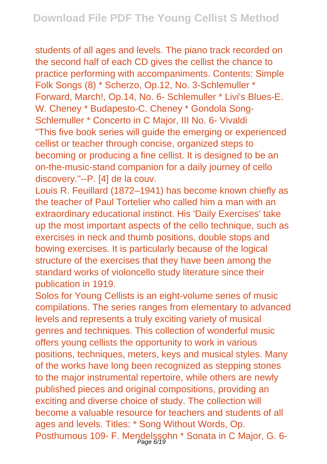students of all ages and levels. The piano track recorded on the second half of each CD gives the cellist the chance to practice performing with accompaniments. Contents: Simple Folk Songs (8) \* Scherzo, Op.12, No. 3-Schlemuller \* Forward, March!, Op.14, No. 6- Schlemuller \* Livi's Blues-E. W. Cheney \* Budapesto-C. Cheney \* Gondola Song-Schlemuller \* Concerto in C Major, III No. 6- Vivaldi "This five book series will guide the emerging or experienced cellist or teacher through concise, organized steps to becoming or producing a fine cellist. It is designed to be an on-the-music-stand companion for a daily journey of cello discovery."--P. [4] de la couv.

Louis R. Feuillard (1872–1941) has become known chiefly as the teacher of Paul Tortelier who called him a man with an extraordinary educational instinct. His 'Daily Exercises' take up the most important aspects of the cello technique, such as exercises in neck and thumb positions, double stops and bowing exercises. It is particularly because of the logical structure of the exercises that they have been among the standard works of violoncello study literature since their publication in 1919.

Solos for Young Cellists is an eight-volume series of music compilations. The series ranges from elementary to advanced levels and represents a truly exciting variety of musical genres and techniques. This collection of wonderful music offers young cellists the opportunity to work in various positions, techniques, meters, keys and musical styles. Many of the works have long been recognized as stepping stones to the major instrumental repertoire, while others are newly published pieces and original compositions, providing an exciting and diverse choice of study. The collection will become a valuable resource for teachers and students of all ages and levels. Titles: \* Song Without Words, Op. Posthumous 109- F. Mendelssohn \* Sonata in C Major, G. 6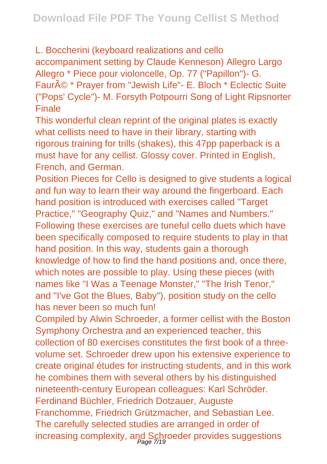L. Boccherini (keyboard realizations and cello accompaniment setting by Claude Kenneson) Allegro Largo Allegro \* Piece pour violoncelle, Op. 77 ("Papillon")- G. Fauré \* Praver from "Jewish Life"- E. Bloch \* Eclectic Suite ("Pops' Cycle")- M. Forsyth Potpourri Song of Light Ripsnorter Finale

This wonderful clean reprint of the original plates is exactly what cellists need to have in their library, starting with rigorous training for trills (shakes), this 47pp paperback is a must have for any cellist. Glossy cover. Printed in English, French, and German.

Position Pieces for Cello is designed to give students a logical and fun way to learn their way around the fingerboard. Each hand position is introduced with exercises called "Target" Practice," "Geography Quiz," and "Names and Numbers." Following these exercises are tuneful cello duets which have been specifically composed to require students to play in that hand position. In this way, students gain a thorough knowledge of how to find the hand positions and, once there, which notes are possible to play. Using these pieces (with names like "I Was a Teenage Monster," "The Irish Tenor," and "I've Got the Blues, Baby"), position study on the cello has never been so much fun!

Compiled by Alwin Schroeder, a former cellist with the Boston Symphony Orchestra and an experienced teacher, this collection of 80 exercises constitutes the first book of a threevolume set. Schroeder drew upon his extensive experience to create original études for instructing students, and in this work he combines them with several others by his distinguished nineteenth-century European colleagues: Karl Schröder. Ferdinand Büchler, Friedrich Dotzauer, Auguste Franchomme, Friedrich Grützmacher, and Sebastian Lee. The carefully selected studies are arranged in order of increasing complexity, and Schroeder provides suggestions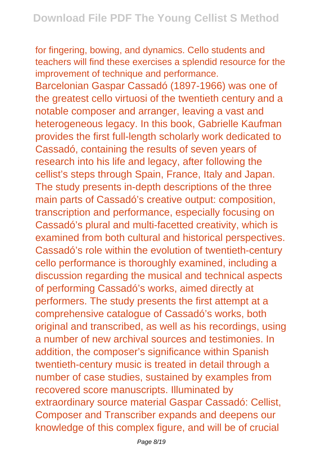for fingering, bowing, and dynamics. Cello students and teachers will find these exercises a splendid resource for the improvement of technique and performance.

Barcelonian Gaspar Cassadó (1897-1966) was one of the greatest cello virtuosi of the twentieth century and a notable composer and arranger, leaving a vast and heterogeneous legacy. In this book, Gabrielle Kaufman provides the first full-length scholarly work dedicated to Cassadó, containing the results of seven years of research into his life and legacy, after following the cellist's steps through Spain, France, Italy and Japan. The study presents in-depth descriptions of the three main parts of Cassadó's creative output: composition, transcription and performance, especially focusing on Cassadó's plural and multi-facetted creativity, which is examined from both cultural and historical perspectives. Cassadó's role within the evolution of twentieth-century cello performance is thoroughly examined, including a discussion regarding the musical and technical aspects of performing Cassadó's works, aimed directly at performers. The study presents the first attempt at a comprehensive catalogue of Cassadó's works, both original and transcribed, as well as his recordings, using a number of new archival sources and testimonies. In addition, the composer's significance within Spanish twentieth-century music is treated in detail through a number of case studies, sustained by examples from recovered score manuscripts. Illuminated by extraordinary source material Gaspar Cassadó: Cellist, Composer and Transcriber expands and deepens our knowledge of this complex figure, and will be of crucial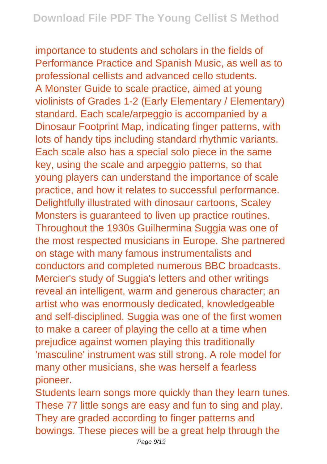importance to students and scholars in the fields of Performance Practice and Spanish Music, as well as to professional cellists and advanced cello students. A Monster Guide to scale practice, aimed at young violinists of Grades 1-2 (Early Elementary / Elementary) standard. Each scale/arpeggio is accompanied by a Dinosaur Footprint Map, indicating finger patterns, with lots of handy tips including standard rhythmic variants. Each scale also has a special solo piece in the same key, using the scale and arpeggio patterns, so that young players can understand the importance of scale practice, and how it relates to successful performance. Delightfully illustrated with dinosaur cartoons, Scaley Monsters is guaranteed to liven up practice routines. Throughout the 1930s Guilhermina Suggia was one of the most respected musicians in Europe. She partnered on stage with many famous instrumentalists and conductors and completed numerous BBC broadcasts. Mercier's study of Suggia's letters and other writings reveal an intelligent, warm and generous character; an artist who was enormously dedicated, knowledgeable and self-disciplined. Suggia was one of the first women to make a career of playing the cello at a time when prejudice against women playing this traditionally 'masculine' instrument was still strong. A role model for many other musicians, she was herself a fearless pioneer.

Students learn songs more quickly than they learn tunes. These 77 little songs are easy and fun to sing and play. They are graded according to finger patterns and bowings. These pieces will be a great help through the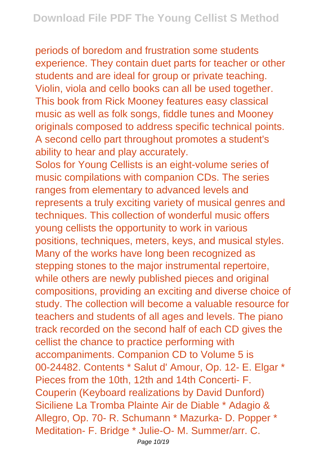periods of boredom and frustration some students experience. They contain duet parts for teacher or other students and are ideal for group or private teaching. Violin, viola and cello books can all be used together. This book from Rick Mooney features easy classical music as well as folk songs, fiddle tunes and Mooney originals composed to address specific technical points. A second cello part throughout promotes a student's ability to hear and play accurately.

Solos for Young Cellists is an eight-volume series of music compilations with companion CDs. The series ranges from elementary to advanced levels and represents a truly exciting variety of musical genres and techniques. This collection of wonderful music offers young cellists the opportunity to work in various positions, techniques, meters, keys, and musical styles. Many of the works have long been recognized as stepping stones to the major instrumental repertoire, while others are newly published pieces and original compositions, providing an exciting and diverse choice of study. The collection will become a valuable resource for teachers and students of all ages and levels. The piano track recorded on the second half of each CD gives the cellist the chance to practice performing with accompaniments. Companion CD to Volume 5 is 00-24482. Contents \* Salut d' Amour, Op. 12- E. Elgar \* Pieces from the 10th, 12th and 14th Concerti- F. Couperin (Keyboard realizations by David Dunford) Siciliene La Tromba Plainte Air de Diable \* Adagio & Allegro, Op. 70- R. Schumann \* Mazurka- D. Popper \* Meditation- F. Bridge \* Julie-O- M. Summer/arr. C.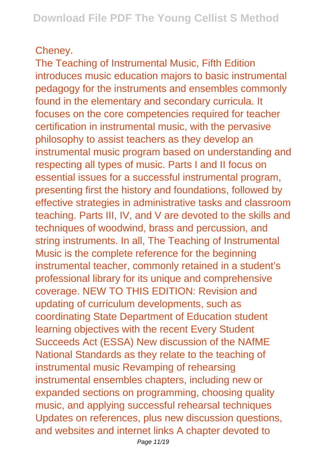## Cheney.

The Teaching of Instrumental Music, Fifth Edition introduces music education majors to basic instrumental pedagogy for the instruments and ensembles commonly found in the elementary and secondary curricula. It focuses on the core competencies required for teacher certification in instrumental music, with the pervasive philosophy to assist teachers as they develop an instrumental music program based on understanding and respecting all types of music. Parts I and II focus on essential issues for a successful instrumental program, presenting first the history and foundations, followed by effective strategies in administrative tasks and classroom teaching. Parts III, IV, and V are devoted to the skills and techniques of woodwind, brass and percussion, and string instruments. In all, The Teaching of Instrumental Music is the complete reference for the beginning instrumental teacher, commonly retained in a student's professional library for its unique and comprehensive coverage. NEW TO THIS EDITION: Revision and updating of curriculum developments, such as coordinating State Department of Education student learning objectives with the recent Every Student Succeeds Act (ESSA) New discussion of the NAfME National Standards as they relate to the teaching of instrumental music Revamping of rehearsing instrumental ensembles chapters, including new or expanded sections on programming, choosing quality music, and applying successful rehearsal techniques Updates on references, plus new discussion questions, and websites and internet links A chapter devoted to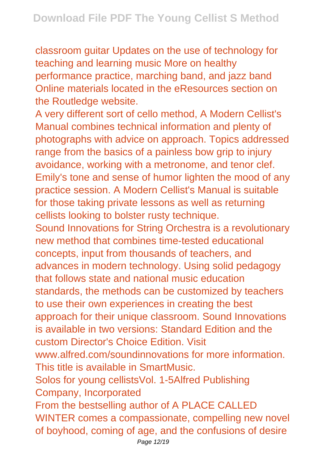classroom guitar Updates on the use of technology for teaching and learning music More on healthy performance practice, marching band, and jazz band Online materials located in the eResources section on the Routledge website.

A very different sort of cello method, A Modern Cellist's Manual combines technical information and plenty of photographs with advice on approach. Topics addressed range from the basics of a painless bow grip to injury avoidance, working with a metronome, and tenor clef. Emily's tone and sense of humor lighten the mood of any practice session. A Modern Cellist's Manual is suitable for those taking private lessons as well as returning cellists looking to bolster rusty technique. Sound Innovations for String Orchestra is a revolutionary new method that combines time-tested educational concepts, input from thousands of teachers, and advances in modern technology. Using solid pedagogy that follows state and national music education standards, the methods can be customized by teachers to use their own experiences in creating the best approach for their unique classroom. Sound Innovations is available in two versions: Standard Edition and the custom Director's Choice Edition. Visit www.alfred.com/soundinnovations for more information. This title is available in SmartMusic. Solos for young cellistsVol. 1-5Alfred Publishing Company, Incorporated From the bestselling author of A PLACE CALLED WINTER comes a compassionate, compelling new novel of boyhood, coming of age, and the confusions of desire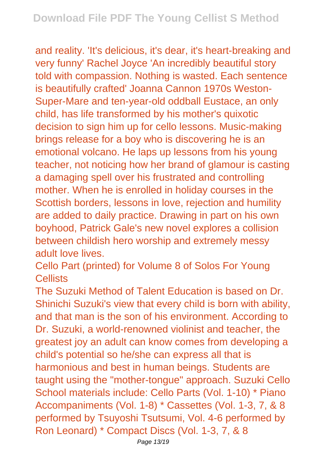and reality. 'It's delicious, it's dear, it's heart-breaking and very funny' Rachel Joyce 'An incredibly beautiful story told with compassion. Nothing is wasted. Each sentence is beautifully crafted' Joanna Cannon 1970s Weston-Super-Mare and ten-year-old oddball Eustace, an only child, has life transformed by his mother's quixotic decision to sign him up for cello lessons. Music-making brings release for a boy who is discovering he is an emotional volcano. He laps up lessons from his young teacher, not noticing how her brand of glamour is casting a damaging spell over his frustrated and controlling mother. When he is enrolled in holiday courses in the Scottish borders, lessons in love, rejection and humility are added to daily practice. Drawing in part on his own boyhood, Patrick Gale's new novel explores a collision between childish hero worship and extremely messy adult love lives

Cello Part (printed) for Volume 8 of Solos For Young Cellists

The Suzuki Method of Talent Education is based on Dr. Shinichi Suzuki's view that every child is born with ability, and that man is the son of his environment. According to Dr. Suzuki, a world-renowned violinist and teacher, the greatest joy an adult can know comes from developing a child's potential so he/she can express all that is harmonious and best in human beings. Students are taught using the "mother-tongue" approach. Suzuki Cello School materials include: Cello Parts (Vol. 1-10) \* Piano Accompaniments (Vol. 1-8) \* Cassettes (Vol. 1-3, 7, & 8 performed by Tsuyoshi Tsutsumi, Vol. 4-6 performed by Ron Leonard) \* Compact Discs (Vol. 1-3, 7, & 8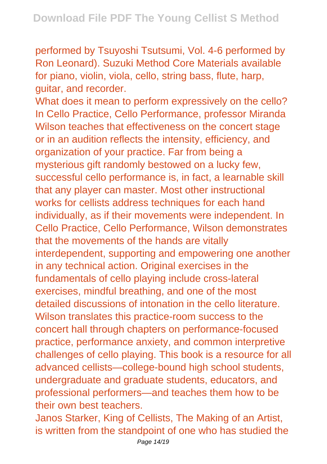performed by Tsuyoshi Tsutsumi, Vol. 4-6 performed by Ron Leonard). Suzuki Method Core Materials available for piano, violin, viola, cello, string bass, flute, harp, guitar, and recorder.

What does it mean to perform expressively on the cello? In Cello Practice, Cello Performance, professor Miranda Wilson teaches that effectiveness on the concert stage or in an audition reflects the intensity, efficiency, and organization of your practice. Far from being a mysterious gift randomly bestowed on a lucky few, successful cello performance is, in fact, a learnable skill that any player can master. Most other instructional works for cellists address techniques for each hand individually, as if their movements were independent. In Cello Practice, Cello Performance, Wilson demonstrates that the movements of the hands are vitally interdependent, supporting and empowering one another in any technical action. Original exercises in the fundamentals of cello playing include cross-lateral exercises, mindful breathing, and one of the most detailed discussions of intonation in the cello literature. Wilson translates this practice-room success to the concert hall through chapters on performance-focused practice, performance anxiety, and common interpretive challenges of cello playing. This book is a resource for all advanced cellists—college-bound high school students, undergraduate and graduate students, educators, and professional performers—and teaches them how to be their own best teachers.

Janos Starker, King of Cellists, The Making of an Artist, is written from the standpoint of one who has studied the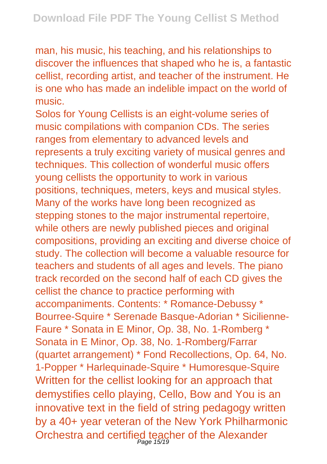man, his music, his teaching, and his relationships to discover the influences that shaped who he is, a fantastic cellist, recording artist, and teacher of the instrument. He is one who has made an indelible impact on the world of music.

Solos for Young Cellists is an eight-volume series of music compilations with companion CDs. The series ranges from elementary to advanced levels and represents a truly exciting variety of musical genres and techniques. This collection of wonderful music offers young cellists the opportunity to work in various positions, techniques, meters, keys and musical styles. Many of the works have long been recognized as stepping stones to the major instrumental repertoire, while others are newly published pieces and original compositions, providing an exciting and diverse choice of study. The collection will become a valuable resource for teachers and students of all ages and levels. The piano track recorded on the second half of each CD gives the cellist the chance to practice performing with accompaniments. Contents: \* Romance-Debussy \* Bourree-Squire \* Serenade Basque-Adorian \* Sicilienne-Faure \* Sonata in E Minor, Op. 38, No. 1-Romberg \* Sonata in E Minor, Op. 38, No. 1-Romberg/Farrar (quartet arrangement) \* Fond Recollections, Op. 64, No. 1-Popper \* Harlequinade-Squire \* Humoresque-Squire Written for the cellist looking for an approach that demystifies cello playing, Cello, Bow and You is an innovative text in the field of string pedagogy written by a 40+ year veteran of the New York Philharmonic Orchestra and certified teacher of the Alexander Page 15/19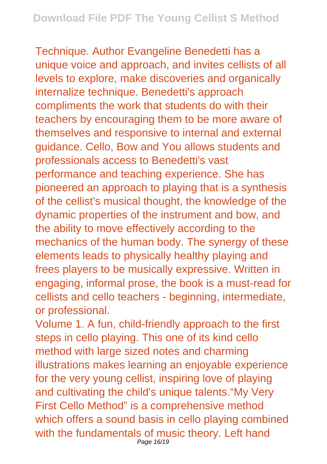Technique. Author Evangeline Benedetti has a unique voice and approach, and invites cellists of all levels to explore, make discoveries and organically internalize technique. Benedetti's approach compliments the work that students do with their teachers by encouraging them to be more aware of themselves and responsive to internal and external guidance. Cello, Bow and You allows students and professionals access to Benedetti's vast performance and teaching experience. She has pioneered an approach to playing that is a synthesis of the cellist's musical thought, the knowledge of the dynamic properties of the instrument and bow, and the ability to move effectively according to the mechanics of the human body. The synergy of these elements leads to physically healthy playing and frees players to be musically expressive. Written in engaging, informal prose, the book is a must-read for cellists and cello teachers - beginning, intermediate, or professional.

Volume 1. A fun, child-friendly approach to the first steps in cello playing. This one of its kind cello method with large sized notes and charming illustrations makes learning an enjoyable experience for the very young cellist, inspiring love of playing and cultivating the child's unique talents."My Very First Cello Method" is a comprehensive method which offers a sound basis in cello playing combined with the fundamentals of music theory. Left hand Page 16/19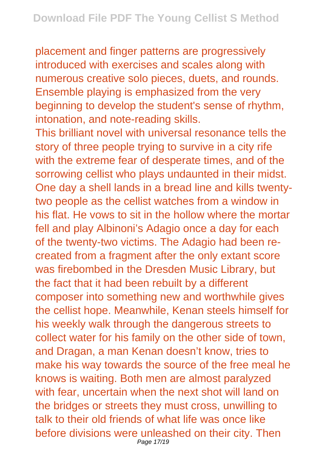placement and finger patterns are progressively introduced with exercises and scales along with numerous creative solo pieces, duets, and rounds. Ensemble playing is emphasized from the very beginning to develop the student's sense of rhythm, intonation, and note-reading skills.

This brilliant novel with universal resonance tells the story of three people trying to survive in a city rife with the extreme fear of desperate times, and of the sorrowing cellist who plays undaunted in their midst. One day a shell lands in a bread line and kills twentytwo people as the cellist watches from a window in his flat. He vows to sit in the hollow where the mortar fell and play Albinoni's Adagio once a day for each of the twenty-two victims. The Adagio had been recreated from a fragment after the only extant score was firebombed in the Dresden Music Library, but the fact that it had been rebuilt by a different composer into something new and worthwhile gives the cellist hope. Meanwhile, Kenan steels himself for his weekly walk through the dangerous streets to collect water for his family on the other side of town, and Dragan, a man Kenan doesn't know, tries to make his way towards the source of the free meal he knows is waiting. Both men are almost paralyzed with fear, uncertain when the next shot will land on the bridges or streets they must cross, unwilling to talk to their old friends of what life was once like before divisions were unleashed on their city. Then Page 17/19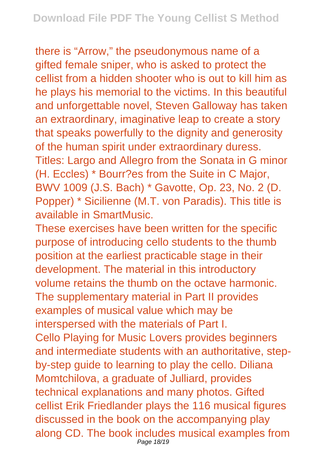there is "Arrow," the pseudonymous name of a gifted female sniper, who is asked to protect the cellist from a hidden shooter who is out to kill him as he plays his memorial to the victims. In this beautiful and unforgettable novel, Steven Galloway has taken an extraordinary, imaginative leap to create a story that speaks powerfully to the dignity and generosity of the human spirit under extraordinary duress. Titles: Largo and Allegro from the Sonata in G minor (H. Eccles) \* Bourr?es from the Suite in C Major, BWV 1009 (J.S. Bach) \* Gavotte, Op. 23, No. 2 (D. Popper) \* Sicilienne (M.T. von Paradis). This title is available in SmartMusic.

These exercises have been written for the specific purpose of introducing cello students to the thumb position at the earliest practicable stage in their development. The material in this introductory volume retains the thumb on the octave harmonic. The supplementary material in Part II provides examples of musical value which may be interspersed with the materials of Part I. Cello Playing for Music Lovers provides beginners and intermediate students with an authoritative, stepby-step guide to learning to play the cello. Diliana Momtchilova, a graduate of Julliard, provides technical explanations and many photos. Gifted cellist Erik Friedlander plays the 116 musical figures discussed in the book on the accompanying play along CD. The book includes musical examples from Page 18/19